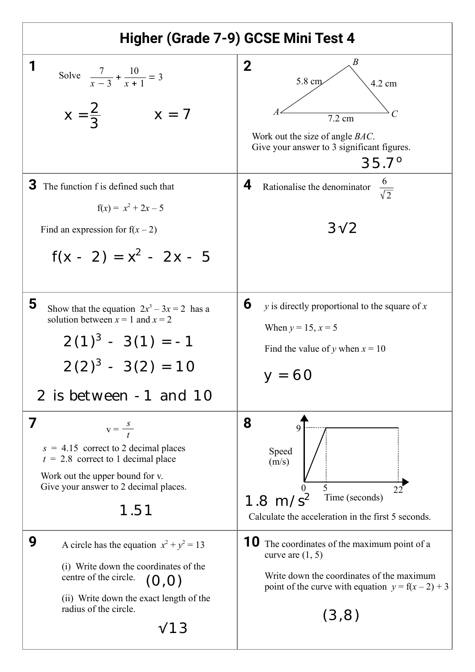| Higher (Grade 7-9) GCSE Mini Test 4                                                                                                                                                                           |                                                                                                                                                                                      |
|---------------------------------------------------------------------------------------------------------------------------------------------------------------------------------------------------------------|--------------------------------------------------------------------------------------------------------------------------------------------------------------------------------------|
| Solve $\frac{7}{x-3} + \frac{10}{x+1} = 3$<br>$X = \frac{2}{3}$<br>$x = 7$                                                                                                                                    | B<br>$\mathbf 2$<br>5.8 cm<br>4.2 cm<br>$7.2 \text{ cm}$<br>Work out the size of angle <i>BAC</i> .<br>Give your answer to 3 significant figures.<br>$35.7^{\circ}$                  |
| З<br>The function f is defined such that<br>$f(x) = x^2 + 2x - 5$<br>Find an expression for $f(x-2)$<br>$f(x - 2) = x^2 - 2x - 5$                                                                             | $rac{6}{\sqrt{2}}$<br>4<br>Rationalise the denominator<br>$3\sqrt{2}$                                                                                                                |
| 5<br>Show that the equation $2x^3 - 3x = 2$ has a<br>solution between $x = 1$ and $x = 2$<br>$2(1)^3 - 3(1) = -1$<br>$2(2)^3 - 3(2) = 10$<br>2 is between -1 and 10                                           | 6<br>$y$ is directly proportional to the square of $x$<br>When $y = 15$ , $x = 5$<br>Find the value of y when $x = 10$<br>$y = 60$                                                   |
| 7<br>$v = \frac{s}{t}$<br>$s = 4.15$ correct to 2 decimal places<br>$t = 2.8$ correct to 1 decimal place<br>Work out the upper bound for v.<br>Give your answer to 2 decimal places.<br>1.51                  | 8<br>Speed<br>(m/s)<br>5<br>$\theta$<br>22<br>$1.8 \text{ m/s}^2$<br>Time (seconds)<br>Calculate the acceleration in the first 5 seconds.                                            |
| 9<br>A circle has the equation $x^2 + y^2 = 13$<br>(i) Write down the coordinates of the<br>centre of the circle.<br>(O,O)<br>(ii) Write down the exact length of the<br>radius of the circle.<br>$\sqrt{13}$ | <b>10</b> The coordinates of the maximum point of a<br>curve are $(1, 5)$<br>Write down the coordinates of the maximum<br>point of the curve with equation $y = f(x-2) + 3$<br>(3,8) |